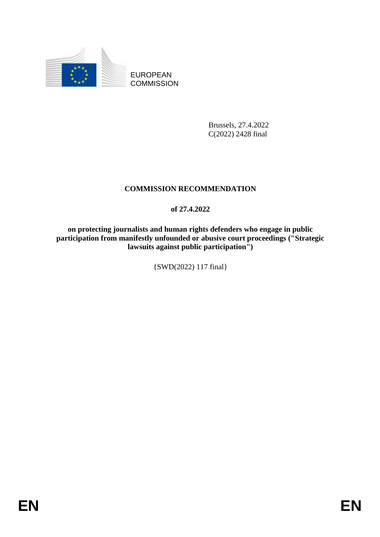

EUROPEAN **COMMISSION** 

> Brussels, 27.4.2022 C(2022) 2428 final

# **COMMISSION RECOMMENDATION**

# **of 27.4.2022**

**on protecting journalists and human rights defenders who engage in public**  participation from manifestly unfounded or abusive court proceedings ("Strategic **lawsuits against public participation")**

{SWD(2022) 117 final}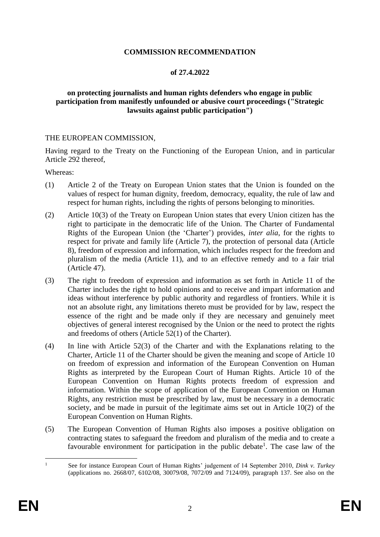### **COMMISSION RECOMMENDATION**

#### **of 27.4.2022**

#### **on protecting journalists and human rights defenders who engage in public participation from manifestly unfounded or abusive court proceedings ("Strategic lawsuits against public participation")**

#### THE EUROPEAN COMMISSION,

Having regard to the Treaty on the Functioning of the European Union, and in particular Article 292 thereof,

Whereas:

- (1) Article 2 of the Treaty on European Union states that the Union is founded on the values of respect for human dignity, freedom, democracy, equality, the rule of law and respect for human rights, including the rights of persons belonging to minorities.
- (2) Article 10(3) of the Treaty on European Union states that every Union citizen has the right to participate in the democratic life of the Union. The Charter of Fundamental Rights of the European Union (the 'Charter') provides, *inter alia*, for the rights to respect for private and family life (Article 7), the protection of personal data (Article 8), freedom of expression and information, which includes respect for the freedom and pluralism of the media (Article 11), and to an effective remedy and to a fair trial (Article 47).
- (3) The right to freedom of expression and information as set forth in Article 11 of the Charter includes the right to hold opinions and to receive and impart information and ideas without interference by public authority and regardless of frontiers. While it is not an absolute right, any limitations thereto must be provided for by law, respect the essence of the right and be made only if they are necessary and genuinely meet objectives of general interest recognised by the Union or the need to protect the rights and freedoms of others (Article 52(1) of the Charter).
- (4) In line with Article 52(3) of the Charter and with the Explanations relating to the Charter, Article 11 of the Charter should be given the meaning and scope of Article 10 on freedom of expression and information of the European Convention on Human Rights as interpreted by the European Court of Human Rights. Article 10 of the European Convention on Human Rights protects freedom of expression and information. Within the scope of application of the European Convention on Human Rights, any restriction must be prescribed by law, must be necessary in a democratic society, and be made in pursuit of the legitimate aims set out in Article 10(2) of the European Convention on Human Rights.
- (5) The European Convention of Human Rights also imposes a positive obligation on contracting states to safeguard the freedom and pluralism of the media and to create a favourable environment for participation in the public debate<sup>1</sup>. The case law of the

 $\overline{1}$ <sup>1</sup> See for instance European Court of Human Rights' judgement of 14 September 2010, *Dink v. Turkey* (applications no. 2668/07, 6102/08, 30079/08, 7072/09 and 7124/09), paragraph 137. See also on the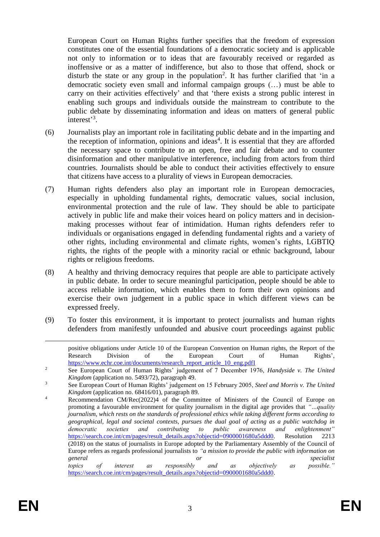European Court on Human Rights further specifies that the freedom of expression constitutes one of the essential foundations of a democratic society and is applicable not only to information or to ideas that are favourably received or regarded as inoffensive or as a matter of indifference, but also to those that offend, shock or disturb the state or any group in the population<sup>2</sup>. It has further clarified that 'in a democratic society even small and informal campaign groups (…) must be able to carry on their activities effectively' and that 'there exists a strong public interest in enabling such groups and individuals outside the mainstream to contribute to the public debate by disseminating information and ideas on matters of general public interest<sup>3</sup>.

- (6) Journalists play an important role in facilitating public debate and in the imparting and the reception of information, opinions and ideas<sup>4</sup>. It is essential that they are afforded the necessary space to contribute to an open, free and fair debate and to counter disinformation and other manipulative interference, including from actors from third countries. Journalists should be able to conduct their activities effectively to ensure that citizens have access to a plurality of views in European democracies.
- (7) Human rights defenders also play an important role in European democracies, especially in upholding fundamental rights, democratic values, social inclusion, environmental protection and the rule of law. They should be able to participate actively in public life and make their voices heard on policy matters and in decisionmaking processes without fear of intimidation. Human rights defenders refer to individuals or organisations engaged in defending fundamental rights and a variety of other rights, including environmental and climate rights, women's rights, LGBTIQ rights, the rights of the people with a minority racial or ethnic background, labour rights or religious freedoms.
- (8) A healthy and thriving democracy requires that people are able to participate actively in public debate. In order to secure meaningful participation, people should be able to access reliable information, which enables them to form their own opinions and exercise their own judgement in a public space in which different views can be expressed freely.
- (9) To foster this environment, it is important to protect journalists and human rights defenders from manifestly unfounded and abusive court proceedings against public

positive obligations under Article 10 of the European Convention on Human rights, the Report of the Research Division of the European Court of Human Rights', [https://www.echr.coe.int/documents/research\\_report\\_article\\_10\\_eng.pdfI](https://www.echr.coe.int/documents/research_report_article_10_eng.pdf)

 $\overline{a}$ 

<sup>2</sup> See European Court of Human Rights' judgement of 7 December 1976, *Handyside v. The United Kingdom* (application no. 5493/72), paragraph 49.

<sup>3</sup> See European Court of Human Rights' judgement on 15 February 2005, *Steel and Morris v. The United Kingdom* (application no. 68416/01), paragraph 89.

<sup>4</sup> Recommendation CM/Rec(2022)4 of the Committee of Ministers of the Council of Europe on promoting a favourable environment for quality journalism in the digital age provides that *"…quality journalism, which rests on the standards of professional ethics while taking different forms according to geographical, legal and societal contexts, pursues the dual goal of acting as a public watchdog in democratic societies and contributing to public awareness and enlightenment"* [https://search.coe.int/cm/pages/result\\_details.aspx?objectid=0900001680a5ddd0](https://search.coe.int/cm/pages/result_details.aspx?objectid=0900001680a5ddd0). Resolution 2213 (2018) on the status of journalists in Europe adopted by the Parliamentary Assembly of the Council of Europe refers as regards professional journalists to *"a mission to provide the public with information on general or specialist topics of interest as responsibly and as objectively as possible."*  [https://search.coe.int/cm/pages/result\\_details.aspx?objectid=0900001680a5ddd0.](https://search.coe.int/cm/pages/result_details.aspx?objectid=0900001680a5ddd0)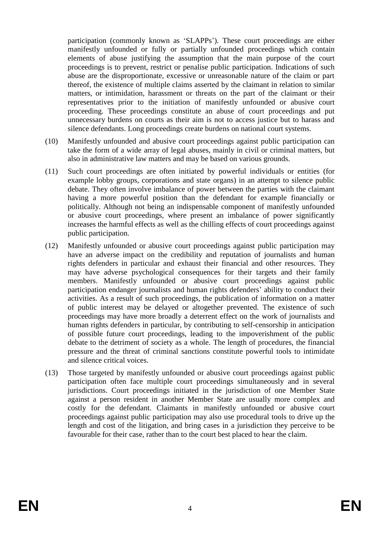participation (commonly known as 'SLAPPs'). These court proceedings are either manifestly unfounded or fully or partially unfounded proceedings which contain elements of abuse justifying the assumption that the main purpose of the court proceedings is to prevent, restrict or penalise public participation. Indications of such abuse are the disproportionate, excessive or unreasonable nature of the claim or part thereof, the existence of multiple claims asserted by the claimant in relation to similar matters, or intimidation, harassment or threats on the part of the claimant or their representatives prior to the initiation of manifestly unfounded or abusive court proceeding. These proceedings constitute an abuse of court proceedings and put unnecessary burdens on courts as their aim is not to access justice but to harass and silence defendants. Long proceedings create burdens on national court systems.

- (10) Manifestly unfounded and abusive court proceedings against public participation can take the form of a wide array of legal abuses, mainly in civil or criminal matters, but also in administrative law matters and may be based on various grounds.
- (11) Such court proceedings are often initiated by powerful individuals or entities (for example lobby groups, corporations and state organs) in an attempt to silence public debate. They often involve imbalance of power between the parties with the claimant having a more powerful position than the defendant for example financially or politically. Although not being an indispensable component of manifestly unfounded or abusive court proceedings, where present an imbalance of power significantly increases the harmful effects as well as the chilling effects of court proceedings against public participation.
- (12) Manifestly unfounded or abusive court proceedings against public participation may have an adverse impact on the credibility and reputation of journalists and human rights defenders in particular and exhaust their financial and other resources. They may have adverse psychological consequences for their targets and their family members. Manifestly unfounded or abusive court proceedings against public participation endanger journalists and human rights defenders' ability to conduct their activities. As a result of such proceedings, the publication of information on a matter of public interest may be delayed or altogether prevented. The existence of such proceedings may have more broadly a deterrent effect on the work of journalists and human rights defenders in particular, by contributing to self-censorship in anticipation of possible future court proceedings, leading to the impoverishment of the public debate to the detriment of society as a whole. The length of procedures, the financial pressure and the threat of criminal sanctions constitute powerful tools to intimidate and silence critical voices.
- (13) Those targeted by manifestly unfounded or abusive court proceedings against public participation often face multiple court proceedings simultaneously and in several jurisdictions. Court proceedings initiated in the jurisdiction of one Member State against a person resident in another Member State are usually more complex and costly for the defendant. Claimants in manifestly unfounded or abusive court proceedings against public participation may also use procedural tools to drive up the length and cost of the litigation, and bring cases in a jurisdiction they perceive to be favourable for their case, rather than to the court best placed to hear the claim.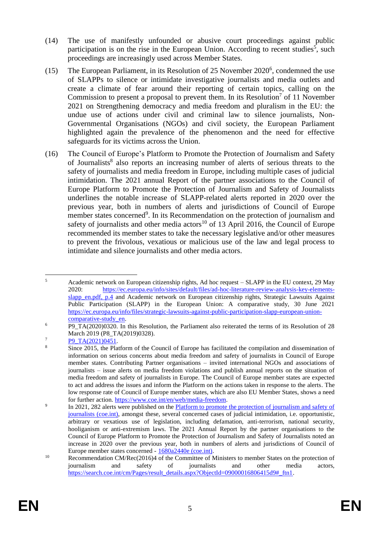- (14) The use of manifestly unfounded or abusive court proceedings against public participation is on the rise in the European Union. According to recent studies<sup>5</sup>, such proceedings are increasingly used across Member States.
- (15) The European Parliament, in its Resolution of 25 November  $2020^6$ , condemned the use of SLAPPs to silence or intimidate investigative journalists and media outlets and create a climate of fear around their reporting of certain topics, calling on the Commission to present a proposal to prevent them. In its Resolution<sup>7</sup> of 11 November 2021 on Strengthening democracy and media freedom and pluralism in the EU: the undue use of actions under civil and criminal law to silence journalists, Non-Governmental Organisations (NGOs) and civil society, the European Parliament highlighted again the prevalence of the phenomenon and the need for effective safeguards for its victims across the Union.
- (16) The Council of Europe's Platform to Promote the Protection of Journalism and Safety of Journalists<sup>8</sup> also reports an increasing number of alerts of serious threats to the safety of journalists and media freedom in Europe, including multiple cases of judicial intimidation. The 2021 annual Report of the partner associations to the Council of Europe Platform to Promote the Protection of Journalism and Safety of Journalists underlines the notable increase of SLAPP-related alerts reported in 2020 over the previous year, both in numbers of alerts and jurisdictions of Council of Europe member states concerned<sup>9</sup>. In its Recommendation on the protection of journalism and safety of journalists and other media actors<sup>10</sup> of 13 April 2016, the Council of Europe recommended its member states to take the necessary legislative and/or other measures to prevent the frivolous, vexatious or malicious use of the law and legal process to intimidate and silence journalists and other media actors.

<sup>1</sup> <sup>5</sup> Academic network on European citizenship rights, Ad hoc request – SLAPP in the EU context, 29 May 2020: [https://ec.europa.eu/info/sites/default/files/ad-hoc-literature-review-analysis-key-elements](https://ec.europa.eu/info/sites/default/files/ad-hoc-literature-review-analysis-key-elements-slapp_en.pdf)[slapp\\_en.pdf,](https://ec.europa.eu/info/sites/default/files/ad-hoc-literature-review-analysis-key-elements-slapp_en.pdf) p.4 and Academic network on European citizenship rights, Strategic Lawsuits Against Public Participation (SLAPP) in the European Union: A comparative study, 30 June 2021 [https://ec.europa.eu/info/files/strategic-lawsuits-against-public-participation-slapp-european-union](https://ec.europa.eu/info/files/strategic-lawsuits-against-public-participation-slapp-european-union-comparative-study_en)[comparative-study\\_en.](https://ec.europa.eu/info/files/strategic-lawsuits-against-public-participation-slapp-european-union-comparative-study_en)

<sup>&</sup>lt;sup>6</sup> P9\_TA(2020)0320. In this Resolution, the Parliament also reiterated the terms of its Resolution of 28 March 2019 (P8\_TA(2019)0328).

 $\frac{P9 \text{ TA}(2021)0451}{8}$ .

<sup>8</sup> Since 2015, the Platform of the Council of Europe has facilitated the compilation and dissemination of information on serious concerns about media freedom and safety of journalists in Council of Europe member states. Contributing Partner organisations – invited international NGOs and associations of journalists – issue alerts on media freedom violations and publish annual reports on the situation of media freedom and safety of journalists in Europe. The Council of Europe member states are expected to act and address the issues and inform the Platform on the actions taken in response to the alerts. The low response rate of Council of Europe member states, which are also EU Member States, shows a need for further action. [https://www.coe.int/en/web/media-freedom.](https://www.coe.int/en/web/media-freedom)

<sup>9</sup> In 2021, 282 alerts were published on the [Platform to promote the protection of journalism and safety of](https://fom.coe.int/accueil)  [journalists \(coe.int\),](https://fom.coe.int/accueil) amongst these, several concerned cases of judicial intimidation, i.e. opportunistic, arbitrary or vexatious use of legislation, including defamation, anti-terrorism, national security, hooliganism or anti-extremism laws. The 2021 Annual Report by the partner organisations to the Council of Europe Platform to Promote the Protection of Journalism and Safety of Journalists noted an increase in 2020 over the previous year, both in numbers of alerts and jurisdictions of Council of Europe member states concerned - [1680a2440e \(coe.int\).](https://rm.coe.int/final-version-annual-report-2021-en-wanted-real-action-for-media-freed/1680a2440e)

<sup>&</sup>lt;sup>10</sup> Recommendation CM/Rec(2016)4 of the Committee of Ministers to member States on the protection of iournalism and safety of journalists and other media actors. journalism and safety of journalists and other media actors, [https://search.coe.int/cm/Pages/result\\_details.aspx?ObjectId=09000016806415d9#\\_ftn1.](https://search.coe.int/cm/Pages/result_details.aspx?ObjectId=09000016806415d9#_ftn1)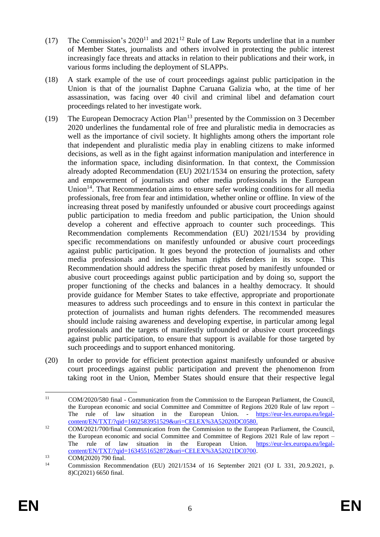- (17) The Commission's  $2020^{11}$  and  $2021^{12}$  Rule of Law Reports underline that in a number of Member States, journalists and others involved in protecting the public interest increasingly face threats and attacks in relation to their publications and their work, in various forms including the deployment of SLAPPs.
- (18) A stark example of the use of court proceedings against public participation in the Union is that of the journalist Daphne Caruana Galizia who, at the time of her assassination, was facing over 40 civil and criminal libel and defamation court proceedings related to her investigate work.
- (19) The European Democracy Action Plan<sup>13</sup> presented by the Commission on 3 December 2020 underlines the fundamental role of free and pluralistic media in democracies as well as the importance of civil society. It highlights among others the important role that independent and pluralistic media play in enabling citizens to make informed decisions, as well as in the fight against information manipulation and interference in the information space, including disinformation. In that context, the Commission already adopted Recommendation (EU) 2021/1534 on ensuring the protection, safety and empowerment of journalists and other media professionals in the European Union<sup>14</sup>. That Recommendation aims to ensure safer working conditions for all media professionals, free from fear and intimidation, whether online or offline. In view of the increasing threat posed by manifestly unfounded or abusive court proceedings against public participation to media freedom and public participation, the Union should develop a coherent and effective approach to counter such proceedings. This Recommendation complements Recommendation (EU) 2021/1534 by providing specific recommendations on manifestly unfounded or abusive court proceedings against public participation. It goes beyond the protection of journalists and other media professionals and includes human rights defenders in its scope. This Recommendation should address the specific threat posed by manifestly unfounded or abusive court proceedings against public participation and by doing so, support the proper functioning of the checks and balances in a healthy democracy. It should provide guidance for Member States to take effective, appropriate and proportionate measures to address such proceedings and to ensure in this context in particular the protection of journalists and human rights defenders. The recommended measures should include raising awareness and developing expertise, in particular among legal professionals and the targets of manifestly unfounded or abusive court proceedings against public participation, to ensure that support is available for those targeted by such proceedings and to support enhanced monitoring.
- (20) In order to provide for efficient protection against manifestly unfounded or abusive court proceedings against public participation and prevent the phenomenon from taking root in the Union, Member States should ensure that their respective legal

 $\overline{11}$ <sup>11</sup> COM/2020/580 final - Communication from the Commission to the European Parliament, the Council, the European economic and social Committee and Committee of Regions 2020 Rule of law report – The rule of law situation in the European Union. - [https://eur-lex.europa.eu/legal](https://eur-lex.europa.eu/legal-content/EN/TXT/?qid=1602583951529&uri=CELEX%3A52020DC0580)[content/EN/TXT/?qid=1602583951529&uri=CELEX%3A52020DC0580.](https://eur-lex.europa.eu/legal-content/EN/TXT/?qid=1602583951529&uri=CELEX%3A52020DC0580)

<sup>&</sup>lt;sup>12</sup> COM/2021/700/final Communication from the Commission to the European Parliament, the Council, the European economic and social Committee and Committee of Regions 2021 Rule of law report – The rule of law situation in the European Union. [https://eur-lex.europa.eu/legal](https://eur-lex.europa.eu/legal-content/EN/TXT/?qid=1634551652872&uri=CELEX%3A52021DC0700)[content/EN/TXT/?qid=1634551652872&uri=CELEX%3A52021DC0700.](https://eur-lex.europa.eu/legal-content/EN/TXT/?qid=1634551652872&uri=CELEX%3A52021DC0700)

 $13$  COM(2020) 790 final.

<sup>14</sup> Commission Recommendation (EU) 2021/1534 of 16 September 2021 (OJ L 331, 20.9.2021, p. 8)C(2021) 6650 final.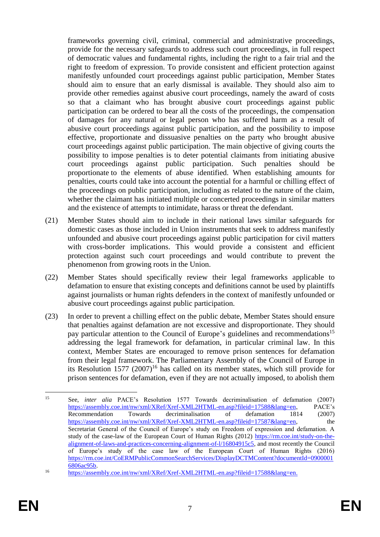frameworks governing civil, criminal, commercial and administrative proceedings, provide for the necessary safeguards to address such court proceedings, in full respect of democratic values and fundamental rights, including the right to a fair trial and the right to freedom of expression. To provide consistent and efficient protection against manifestly unfounded court proceedings against public participation, Member States should aim to ensure that an early dismissal is available. They should also aim to provide other remedies against abusive court proceedings, namely the award of costs so that a claimant who has brought abusive court proceedings against public participation can be ordered to bear all the costs of the proceedings, the compensation of damages for any natural or legal person who has suffered harm as a result of abusive court proceedings against public participation, and the possibility to impose effective, proportionate and dissuasive penalties on the party who brought abusive court proceedings against public participation. The main objective of giving courts the possibility to impose penalties is to deter potential claimants from initiating abusive court proceedings against public participation. Such penalties should be proportionate to the elements of abuse identified. When establishing amounts for penalties, courts could take into account the potential for a harmful or chilling effect of the proceedings on public participation, including as related to the nature of the claim, whether the claimant has initiated multiple or concerted proceedings in similar matters and the existence of attempts to intimidate, harass or threat the defendant.

- (21) Member States should aim to include in their national laws similar safeguards for domestic cases as those included in Union instruments that seek to address manifestly unfounded and abusive court proceedings against public participation for civil matters with cross-border implications. This would provide a consistent and efficient protection against such court proceedings and would contribute to prevent the phenomenon from growing roots in the Union.
- (22) Member States should specifically review their legal frameworks applicable to defamation to ensure that existing concepts and definitions cannot be used by plaintiffs against journalists or human rights defenders in the context of manifestly unfounded or abusive court proceedings against public participation.
- (23) In order to prevent a chilling effect on the public debate, Member States should ensure that penalties against defamation are not excessive and disproportionate. They should pay particular attention to the Council of Europe's guidelines and recommendations<sup>15</sup> addressing the legal framework for defamation, in particular criminal law. In this context, Member States are encouraged to remove prison sentences for defamation from their legal framework. The Parliamentary Assembly of the Council of Europe in its Resolution 1577  $(2007)^{16}$  has called on its member states, which still provide for prison sentences for defamation, even if they are not actually imposed, to abolish them

 $15$ <sup>15</sup> See, *inter alia* PACE's Resolution 1577 Towards decriminalisation of defamation (2007) [https://assembly.coe.int/nw/xml/XRef/Xref-XML2HTML-en.asp?fileid=17588&lang=en,](https://assembly.coe.int/nw/xml/XRef/Xref-XML2HTML-en.asp?fileid=17588&lang=en) PACE's Recommendation Towards decriminalisation of defamation 1814 (2007) [https://assembly.coe.int/nw/xml/XRef/Xref-XML2HTML-en.asp?fileid=17587&lang=en,](https://assembly.coe.int/nw/xml/XRef/Xref-XML2HTML-en.asp?fileid=17587&lang=en) the Secretariat General of the Council of Europe's study on Freedom of expression and defamation. A study of the case-law of the European Court of Human Rights (2012) [https://rm.coe.int/study-on-the](https://rm.coe.int/study-on-the-alignment-of-laws-and-practices-concerning-alignment-of-l/16804915c5)[alignment-of-laws-and-practices-concerning-alignment-of-l/16804915c5,](https://rm.coe.int/study-on-the-alignment-of-laws-and-practices-concerning-alignment-of-l/16804915c5) and most recently the Council of Europe's study of the case law of the European Court of Human Rights (2016) [https://rm.coe.int/CoERMPublicCommonSearchServices/DisplayDCTMContent?documentId=0900001](https://rm.coe.int/CoERMPublicCommonSearchServices/DisplayDCTMContent?documentId=09000016806ac95b) [6806ac95b.](https://rm.coe.int/CoERMPublicCommonSearchServices/DisplayDCTMContent?documentId=09000016806ac95b)

<sup>16</sup> [https://assembly.coe.int/nw/xml/XRef/Xref-XML2HTML-en.asp?fileid=17588&lang=en.](https://assembly.coe.int/nw/xml/XRef/Xref-XML2HTML-en.asp?fileid=17588&lang=en)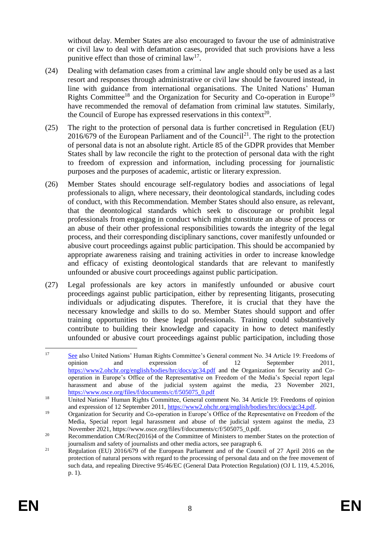without delay. Member States are also encouraged to favour the use of administrative or civil law to deal with defamation cases, provided that such provisions have a less punitive effect than those of criminal  $law<sup>17</sup>$ .

- (24) Dealing with defamation cases from a criminal law angle should only be used as a last resort and responses through administrative or civil law should be favoured instead, in line with guidance from international organisations. The United Nations' Human Rights Committee<sup>18</sup> and the Organization for Security and Co-operation in Europe<sup>19</sup> have recommended the removal of defamation from criminal law statutes. Similarly, the Council of Europe has expressed reservations in this context<sup>20</sup>.
- (25) The right to the protection of personal data is further concretised in Regulation (EU)  $2016/679$  of the European Parliament and of the Council<sup>21</sup>. The right to the protection of personal data is not an absolute right. Article 85 of the GDPR provides that Member States shall by law reconcile the right to the protection of personal data with the right to freedom of expression and information, including processing for journalistic purposes and the purposes of academic, artistic or literary expression.
- (26) Member States should encourage self-regulatory bodies and associations of legal professionals to align, where necessary, their deontological standards, including codes of conduct, with this Recommendation. Member States should also ensure, as relevant, that the deontological standards which seek to discourage or prohibit legal professionals from engaging in conduct which might constitute an abuse of process or an abuse of their other professional responsibilities towards the integrity of the legal process, and their corresponding disciplinary sanctions, cover manifestly unfounded or abusive court proceedings against public participation. This should be accompanied by appropriate awareness raising and training activities in order to increase knowledge and efficacy of existing deontological standards that are relevant to manifestly unfounded or abusive court proceedings against public participation.
- (27) Legal professionals are key actors in manifestly unfounded or abusive court proceedings against public participation, either by representing litigants, prosecuting individuals or adjudicating disputes. Therefore, it is crucial that they have the necessary knowledge and skills to do so. Member States should support and offer training opportunities to these legal professionals. Training could substantively contribute to building their knowledge and capacity in how to detect manifestly unfounded or abusive court proceedings against public participation, including those

 $17$ See also United Nations' Human Rights Committee's General comment No. 34 Article 19: Freedoms of opinion and expression of 12 September 2011, <https://www2.ohchr.org/english/bodies/hrc/docs/gc34.pdf> and the Organization for Security and Cooperation in Europe's Office of the Representative on Freedom of the Media's Special report legal harassment and abuse of the judicial system against the media, 23 November 2021, [https://www.osce.org/files/f/documents/c/f/505075\\_0.pdf](https://www.osce.org/files/f/documents/c/f/505075_0.pdf)

<sup>&</sup>lt;sup>18</sup> United Nations' Human Rights Committee, General comment No. 34 Article 19: Freedoms of opinion and expression of 12 September 2011[, https://www2.ohchr.org/english/bodies/hrc/docs/gc34.pdf.](https://www2.ohchr.org/english/bodies/hrc/docs/gc34.pdf)

<sup>&</sup>lt;sup>19</sup> Organization for Security and Co-operation in Europe's Office of the Representative on Freedom of the Media, Special report legal harassment and abuse of the judicial system against the media, 23 November 2021, https://www.osce.org/files/f/documents/c/f/505075\_0.pdf.

<sup>&</sup>lt;sup>20</sup> Recommendation [CM/Rec\(2016\)4](https://search.coe.int/cm/Pages/result_details.aspx?ObjectId=09000016806415d9#_ftn1) of the Committee of Ministers to member States on the protection of journalism and safety of journalists and other media actors, see paragraph 6.

<sup>&</sup>lt;sup>21</sup> Regulation (EU) 2016/679 of the European Parliament and of the Council of 27 April 2016 on the protection of natural persons with regard to the processing of personal data and on the free movement of such data, and repealing Directive 95/46/EC (General Data Protection Regulation) (OJ L 119, 4.5.2016, p. 1).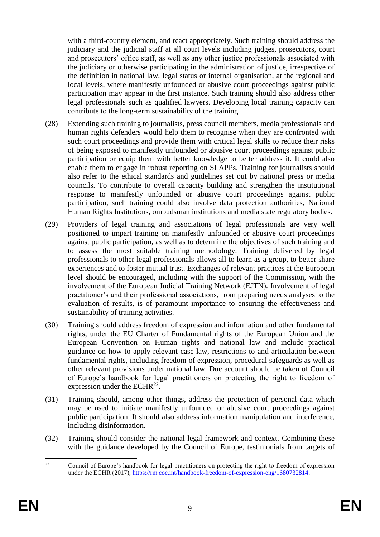with a third-country element, and react appropriately. Such training should address the judiciary and the judicial staff at all court levels including judges, prosecutors, court and prosecutors' office staff, as well as any other justice professionals associated with the judiciary or otherwise participating in the administration of justice, irrespective of the definition in national law, legal status or internal organisation, at the regional and local levels, where manifestly unfounded or abusive court proceedings against public participation may appear in the first instance. Such training should also address other legal professionals such as qualified lawyers. Developing local training capacity can contribute to the long-term sustainability of the training.

- (28) Extending such training to journalists, press council members, media professionals and human rights defenders would help them to recognise when they are confronted with such court proceedings and provide them with critical legal skills to reduce their risks of being exposed to manifestly unfounded or abusive court proceedings against public participation or equip them with better knowledge to better address it. It could also enable them to engage in robust reporting on SLAPPs. Training for journalists should also refer to the ethical standards and guidelines set out by national press or media councils. To contribute to overall capacity building and strengthen the institutional response to manifestly unfounded or abusive court proceedings against public participation, such training could also involve data protection authorities, National Human Rights Institutions, ombudsman institutions and media state regulatory bodies.
- (29) Providers of legal training and associations of legal professionals are very well positioned to impart training on manifestly unfounded or abusive court proceedings against public participation, as well as to determine the objectives of such training and to assess the most suitable training methodology. Training delivered by legal professionals to other legal professionals allows all to learn as a group, to better share experiences and to foster mutual trust. Exchanges of relevant practices at the European level should be encouraged, including with the support of the Commission, with the involvement of the European Judicial Training Network (EJTN). Involvement of legal practitioner's and their professional associations, from preparing needs analyses to the evaluation of results, is of paramount importance to ensuring the effectiveness and sustainability of training activities.
- (30) Training should address freedom of expression and information and other fundamental rights, under the EU Charter of Fundamental rights of the European Union and the European Convention on Human rights and national law and include practical guidance on how to apply relevant case-law, restrictions to and articulation between fundamental rights, including freedom of expression, procedural safeguards as well as other relevant provisions under national law. Due account should be taken of Council of Europe's handbook for legal practitioners on protecting the right to freedom of expression under the ECHR<sup>22</sup>.
- (31) Training should, among other things, address the protection of personal data which may be used to initiate manifestly unfounded or abusive court proceedings against public participation. It should also address information manipulation and interference, including disinformation.
- (32) Training should consider the national legal framework and context. Combining these with the guidance developed by the Council of Europe, testimonials from targets of

 $\overline{22}$ <sup>22</sup> Council of Europe's handbook for legal practitioners on protecting the right to freedom of expression under the ECHR (2017)[, https://rm.coe.int/handbook-freedom-of-expression-eng/1680732814.](https://rm.coe.int/handbook-freedom-of-expression-eng/1680732814)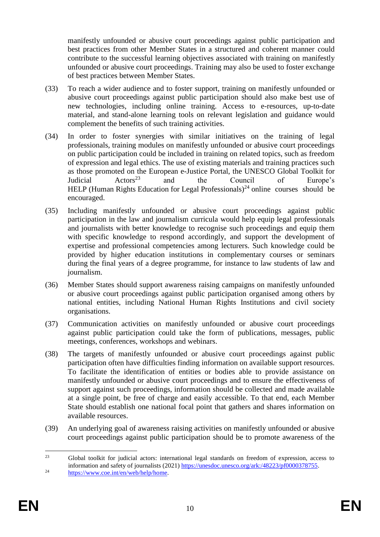manifestly unfounded or abusive court proceedings against public participation and best practices from other Member States in a structured and coherent manner could contribute to the successful learning objectives associated with training on manifestly unfounded or abusive court proceedings. Training may also be used to foster exchange of best practices between Member States.

- (33) To reach a wider audience and to foster support, training on manifestly unfounded or abusive court proceedings against public participation should also make best use of new technologies, including online training. Access to e-resources, up-to-date material, and stand-alone learning tools on relevant legislation and guidance would complement the benefits of such training activities.
- (34) In order to foster synergies with similar initiatives on the training of legal professionals, training modules on manifestly unfounded or abusive court proceedings on public participation could be included in training on related topics, such as freedom of expression and legal ethics. The use of existing materials and training practices such as those promoted on the European e-Justice Portal, the UNESCO Global Toolkit for<br>Indicial Actors<sup>23</sup> and the Council of Europe's Judicial  $\text{Actors}^{23}$  and the Council of Europe's HELP (Human Rights Education for Legal Professionals)<sup>24</sup> online courses should be encouraged.
- (35) Including manifestly unfounded or abusive court proceedings against public participation in the law and journalism curricula would help equip legal professionals and journalists with better knowledge to recognise such proceedings and equip them with specific knowledge to respond accordingly, and support the development of expertise and professional competencies among lecturers. Such knowledge could be provided by higher education institutions in complementary courses or seminars during the final years of a degree programme, for instance to law students of law and journalism.
- (36) Member States should support awareness raising campaigns on manifestly unfounded or abusive court proceedings against public participation organised among others by national entities, including National Human Rights Institutions and civil society organisations.
- (37) Communication activities on manifestly unfounded or abusive court proceedings against public participation could take the form of publications, messages, public meetings, conferences, workshops and webinars.
- (38) The targets of manifestly unfounded or abusive court proceedings against public participation often have difficulties finding information on available support resources. To facilitate the identification of entities or bodies able to provide assistance on manifestly unfounded or abusive court proceedings and to ensure the effectiveness of support against such proceedings, information should be collected and made available at a single point, be free of charge and easily accessible. To that end, each Member State should establish one national focal point that gathers and shares information on available resources.
- (39) An underlying goal of awareness raising activities on manifestly unfounded or abusive court proceedings against public participation should be to promote awareness of the

 $23$ <sup>23</sup> Global toolkit for judicial actors: international legal standards on freedom of expression, access to information and safety of journalists (2021) [https://unesdoc.unesco.org/ark:/48223/pf0000378755.](https://unesdoc.unesco.org/ark:/48223/pf0000378755)  $24$  https://www.coe.int/en/web/help/home.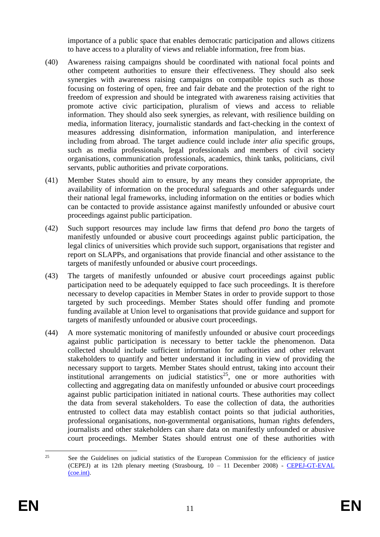importance of a public space that enables democratic participation and allows citizens to have access to a plurality of views and reliable information, free from bias.

- (40) Awareness raising campaigns should be coordinated with national focal points and other competent authorities to ensure their effectiveness. They should also seek synergies with awareness raising campaigns on compatible topics such as those focusing on fostering of open, free and fair debate and the protection of the right to freedom of expression and should be integrated with awareness raising activities that promote active civic participation, pluralism of views and access to reliable information. They should also seek synergies, as relevant, with resilience building on media, information literacy, journalistic standards and fact-checking in the context of measures addressing disinformation, information manipulation, and interference including from abroad. The target audience could include *inter alia* specific groups, such as media professionals, legal professionals and members of civil society organisations, communication professionals, academics, think tanks, politicians, civil servants, public authorities and private corporations.
- (41) Member States should aim to ensure, by any means they consider appropriate, the availability of information on the procedural safeguards and other safeguards under their national legal frameworks, including information on the entities or bodies which can be contacted to provide assistance against manifestly unfounded or abusive court proceedings against public participation.
- (42) Such support resources may include law firms that defend *pro bono* the targets of manifestly unfounded or abusive court proceedings against public participation, the legal clinics of universities which provide such support, organisations that register and report on SLAPPs, and organisations that provide financial and other assistance to the targets of manifestly unfounded or abusive court proceedings.
- (43) The targets of manifestly unfounded or abusive court proceedings against public participation need to be adequately equipped to face such proceedings. It is therefore necessary to develop capacities in Member States in order to provide support to those targeted by such proceedings. Member States should offer funding and promote funding available at Union level to organisations that provide guidance and support for targets of manifestly unfounded or abusive court proceedings.
- (44) A more systematic monitoring of manifestly unfounded or abusive court proceedings against public participation is necessary to better tackle the phenomenon. Data collected should include sufficient information for authorities and other relevant stakeholders to quantify and better understand it including in view of providing the necessary support to targets. Member States should entrust, taking into account their institutional arrangements on judicial statistics<sup>25</sup>, one or more authorities with collecting and aggregating data on manifestly unfounded or abusive court proceedings against public participation initiated in national courts. These authorities may collect the data from several stakeholders. To ease the collection of data, the authorities entrusted to collect data may establish contact points so that judicial authorities, professional organisations, non-governmental organisations, human rights defenders, journalists and other stakeholders can share data on manifestly unfounded or abusive court proceedings. Member States should entrust one of these authorities with

<sup>25</sup> <sup>25</sup> See the Guidelines on judicial statistics of the European Commission for the efficiency of justice (CEPEJ) at its 12th plenary meeting (Strasbourg,  $10 - 11$  December 2008) - CEPEJ-GT-EVAL [\(coe.int\).](https://rm.coe.int/1680747678)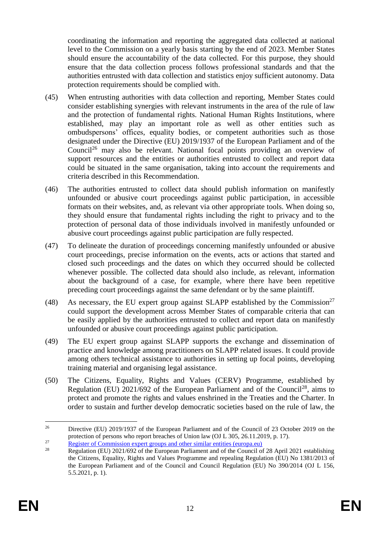coordinating the information and reporting the aggregated data collected at national level to the Commission on a yearly basis starting by the end of 2023. Member States should ensure the accountability of the data collected. For this purpose, they should ensure that the data collection process follows professional standards and that the authorities entrusted with data collection and statistics enjoy sufficient autonomy. Data protection requirements should be complied with.

- (45) When entrusting authorities with data collection and reporting, Member States could consider establishing synergies with relevant instruments in the area of the rule of law and the protection of fundamental rights. National Human Rights Institutions, where established, may play an important role as well as other entities such as ombudspersons' offices, equality bodies, or competent authorities such as those designated under the Directive (EU) 2019/1937 of the European Parliament and of the Council<sup>26</sup> may also be relevant. National focal points providing an overview of support resources and the entities or authorities entrusted to collect and report data could be situated in the same organisation, taking into account the requirements and criteria described in this Recommendation.
- (46) The authorities entrusted to collect data should publish information on manifestly unfounded or abusive court proceedings against public participation, in accessible formats on their websites, and, as relevant via other appropriate tools. When doing so, they should ensure that fundamental rights including the right to privacy and to the protection of personal data of those individuals involved in manifestly unfounded or abusive court proceedings against public participation are fully respected.
- (47) To delineate the duration of proceedings concerning manifestly unfounded or abusive court proceedings, precise information on the events, acts or actions that started and closed such proceedings and the dates on which they occurred should be collected whenever possible. The collected data should also include, as relevant, information about the background of a case, for example, where there have been repetitive preceding court proceedings against the same defendant or by the same plaintiff.
- (48) As necessary, the EU expert group against SLAPP established by the Commission<sup>27</sup> could support the development across Member States of comparable criteria that can be easily applied by the authorities entrusted to collect and report data on manifestly unfounded or abusive court proceedings against public participation.
- (49) The EU expert group against SLAPP supports the exchange and dissemination of practice and knowledge among practitioners on SLAPP related issues. It could provide among others technical assistance to authorities in setting up focal points, developing training material and organising legal assistance.
- (50) The Citizens, Equality, Rights and Values (CERV) Programme, established by Regulation (EU)  $2021/692$  of the European Parliament and of the Council<sup>28</sup>, aims to protect and promote the rights and values enshrined in the Treaties and the Charter. In order to sustain and further develop democratic societies based on the rule of law, the

<sup>&</sup>lt;u>.</u> <sup>26</sup> Directive (EU) 2019/1937 of the European Parliament and of the Council of 23 October 2019 on the protection of persons who report breaches of Union law (OJ L 305, 26.11.2019, p. 17).

<sup>&</sup>lt;sup>27</sup> [Register of Commission expert groups and other similar entities \(europa.eu\)](https://ec.europa.eu/transparency/expert-groups-register/screen/expert-groups/consult?do=groupDetail.groupDetail&groupID=3746)<br><sup>28</sup> Regulation (EU) 2021/602 of the Europa.eu Development and of the Council of

<sup>28</sup> Regulation (EU) 2021/692 of the European Parliament and of the Council of 28 April 2021 establishing the Citizens, Equality, Rights and Values Programme and repealing Regulation (EU) No 1381/2013 of the European Parliament and of the Council and Council Regulation (EU) No 390/2014 (OJ L 156, 5.5.2021, p. 1).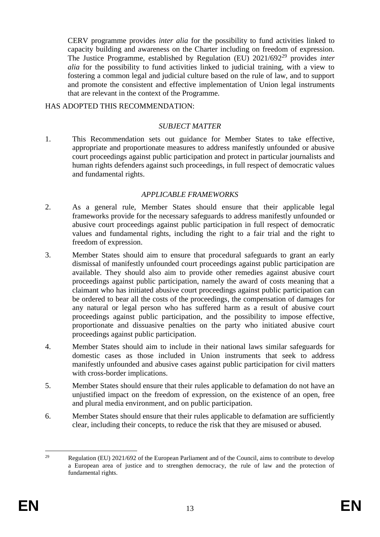CERV programme provides *inter alia* for the possibility to fund activities linked to capacity building and awareness on the Charter including on freedom of expression. The Justice Programme, established by Regulation (EU) 2021/692 <sup>29</sup> provides *inter alia* for the possibility to fund activities linked to judicial training, with a view to fostering a common legal and judicial culture based on the rule of law, and to support and promote the consistent and effective implementation of Union legal instruments that are relevant in the context of the Programme.

#### HAS ADOPTED THIS RECOMMENDATION:

### *SUBJECT MATTER*

1. This Recommendation sets out guidance for Member States to take effective, appropriate and proportionate measures to address manifestly unfounded or abusive court proceedings against public participation and protect in particular journalists and human rights defenders against such proceedings, in full respect of democratic values and fundamental rights.

### *APPLICABLE FRAMEWORKS*

- 2. As a general rule, Member States should ensure that their applicable legal frameworks provide for the necessary safeguards to address manifestly unfounded or abusive court proceedings against public participation in full respect of democratic values and fundamental rights, including the right to a fair trial and the right to freedom of expression.
- 3. Member States should aim to ensure that procedural safeguards to grant an early dismissal of manifestly unfounded court proceedings against public participation are available. They should also aim to provide other remedies against abusive court proceedings against public participation, namely the award of costs meaning that a claimant who has initiated abusive court proceedings against public participation can be ordered to bear all the costs of the proceedings, the compensation of damages for any natural or legal person who has suffered harm as a result of abusive court proceedings against public participation, and the possibility to impose effective, proportionate and dissuasive penalties on the party who initiated abusive court proceedings against public participation.
- 4. Member States should aim to include in their national laws similar safeguards for domestic cases as those included in Union instruments that seek to address manifestly unfounded and abusive cases against public participation for civil matters with cross-border implications.
- 5. Member States should ensure that their rules applicable to defamation do not have an unjustified impact on the freedom of expression, on the existence of an open, free and plural media environment, and on public participation.
- 6. Member States should ensure that their rules applicable to defamation are sufficiently clear, including their concepts, to reduce the risk that they are misused or abused.

<sup>29</sup> <sup>29</sup> Regulation (EU) 2021/692 of the European Parliament and of the Council, aims to contribute to develop a European area of justice and to strengthen democracy, the rule of law and the protection of fundamental rights.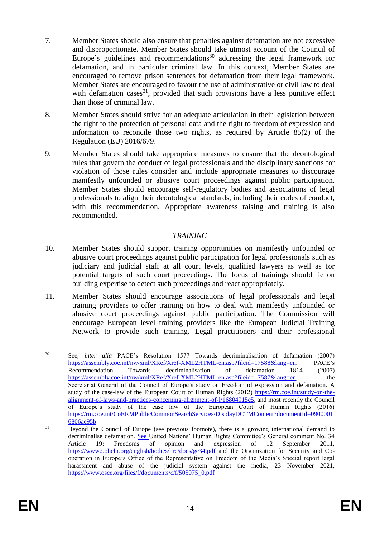- 7. Member States should also ensure that penalties against defamation are not excessive and disproportionate. Member States should take utmost account of the Council of Europe's guidelines and recommendations<sup>30</sup> addressing the legal framework for defamation, and in particular criminal law. In this context, Member States are encouraged to remove prison sentences for defamation from their legal framework. Member States are encouraged to favour the use of administrative or civil law to deal with defamation cases<sup>31</sup>, provided that such provisions have a less punitive effect than those of criminal law.
- 8. Member States should strive for an adequate articulation in their legislation between the right to the protection of personal data and the right to freedom of expression and information to reconcile those two rights, as required by Article 85(2) of the Regulation (EU) 2016/679.
- 9. Member States should take appropriate measures to ensure that the deontological rules that govern the conduct of legal professionals and the disciplinary sanctions for violation of those rules consider and include appropriate measures to discourage manifestly unfounded or abusive court proceedings against public participation. Member States should encourage self-regulatory bodies and associations of legal professionals to align their deontological standards, including their codes of conduct, with this recommendation. Appropriate awareness raising and training is also recommended.

## *TRAINING*

- 10. Member States should support training opportunities on manifestly unfounded or abusive court proceedings against public participation for legal professionals such as judiciary and judicial staff at all court levels, qualified lawyers as well as for potential targets of such court proceedings. The focus of trainings should lie on building expertise to detect such proceedings and react appropriately.
- 11. Member States should encourage associations of legal professionals and legal training providers to offer training on how to deal with manifestly unfounded or abusive court proceedings against public participation. The Commission will encourage European level training providers like the European Judicial Training Network to provide such training. Legal practitioners and their professional

 $30<sup>2</sup>$ <sup>30</sup> See, *inter alia* PACE's Resolution 1577 Towards decriminalisation of defamation (2007) [https://assembly.coe.int/nw/xml/XRef/Xref-XML2HTML-en.asp?fileid=17588&lang=en,](https://assembly.coe.int/nw/xml/XRef/Xref-XML2HTML-en.asp?fileid=17588&lang=en) PACE's Recommendation Towards decriminalisation of defamation 1814 (2007) [https://assembly.coe.int/nw/xml/XRef/Xref-XML2HTML-en.asp?fileid=17587&lang=en,](https://assembly.coe.int/nw/xml/XRef/Xref-XML2HTML-en.asp?fileid=17587&lang=en) the Secretariat General of the Council of Europe's study on Freedom of expression and defamation. A study of the case-law of the European Court of Human Rights (2012) [https://rm.coe.int/study-on-the](https://rm.coe.int/study-on-the-alignment-of-laws-and-practices-concerning-alignment-of-l/16804915c5)[alignment-of-laws-and-practices-concerning-alignment-of-l/16804915c5,](https://rm.coe.int/study-on-the-alignment-of-laws-and-practices-concerning-alignment-of-l/16804915c5) and most recently the Council of Europe's study of the case law of the European Court of Human Rights (2016) [https://rm.coe.int/CoERMPublicCommonSearchServices/DisplayDCTMContent?documentId=0900001](https://rm.coe.int/CoERMPublicCommonSearchServices/DisplayDCTMContent?documentId=09000016806ac95b) [6806ac95b.](https://rm.coe.int/CoERMPublicCommonSearchServices/DisplayDCTMContent?documentId=09000016806ac95b)

<sup>&</sup>lt;sup>31</sup> Beyond the Council of Europe (see previous footnote), there is a growing international demand to decriminalise defamation. See United Nations' Human Rights Committee's General comment No. 34 Article 19: Freedoms of opinion and expression of 12 September 2011, <https://www2.ohchr.org/english/bodies/hrc/docs/gc34.pdf> and the Organization for Security and Cooperation in Europe's Office of the Representative on Freedom of the Media's Special report legal harassment and abuse of the judicial system against the media, 23 November 2021, [https://www.osce.org/files/f/documents/c/f/505075\\_0.pdf](https://www.osce.org/files/f/documents/c/f/505075_0.pdf)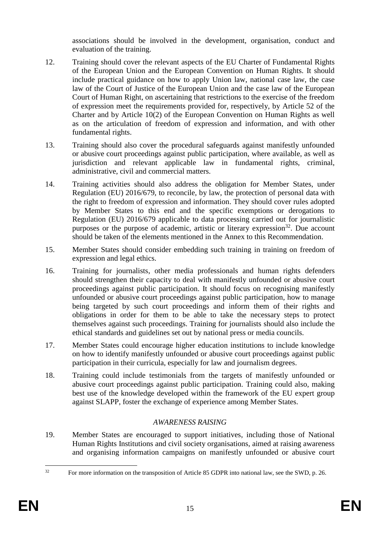associations should be involved in the development, organisation, conduct and evaluation of the training.

- 12. Training should cover the relevant aspects of the EU Charter of Fundamental Rights of the European Union and the European Convention on Human Rights. It should include practical guidance on how to apply Union law, national case law, the case law of the Court of Justice of the European Union and the case law of the European Court of Human Right, on ascertaining that restrictions to the exercise of the freedom of expression meet the requirements provided for, respectively, by Article 52 of the Charter and by Article 10(2) of the European Convention on Human Rights as well as on the articulation of freedom of expression and information, and with other fundamental rights.
- 13. Training should also cover the procedural safeguards against manifestly unfounded or abusive court proceedings against public participation, where available, as well as jurisdiction and relevant applicable law in fundamental rights, criminal, administrative, civil and commercial matters.
- 14. Training activities should also address the obligation for Member States, under Regulation (EU) 2016/679, to reconcile, by law, the protection of personal data with the right to freedom of expression and information. They should cover rules adopted by Member States to this end and the specific exemptions or derogations to Regulation (EU) 2016/679 applicable to data processing carried out for journalistic purposes or the purpose of academic, artistic or literary expression<sup>32</sup>. Due account should be taken of the elements mentioned in the Annex to this Recommendation.
- 15. Member States should consider embedding such training in training on freedom of expression and legal ethics.
- 16. Training for journalists, other media professionals and human rights defenders should strengthen their capacity to deal with manifestly unfounded or abusive court proceedings against public participation. It should focus on recognising manifestly unfounded or abusive court proceedings against public participation, how to manage being targeted by such court proceedings and inform them of their rights and obligations in order for them to be able to take the necessary steps to protect themselves against such proceedings. Training for journalists should also include the ethical standards and guidelines set out by national press or media councils.
- 17. Member States could encourage higher education institutions to include knowledge on how to identify manifestly unfounded or abusive court proceedings against public participation in their curricula, especially for law and journalism degrees.
- 18. Training could include testimonials from the targets of manifestly unfounded or abusive court proceedings against public participation. Training could also, making best use of the knowledge developed within the framework of the EU expert group against SLAPP, foster the exchange of experience among Member States.

## *AWARENESS RAISING*

19. Member States are encouraged to support initiatives, including those of National Human Rights Institutions and civil society organisations, aimed at raising awareness and organising information campaigns on manifestly unfounded or abusive court

 $32$ <sup>32</sup> For more information on the transposition of Article 85 GDPR into national law, see the SWD, p. 26.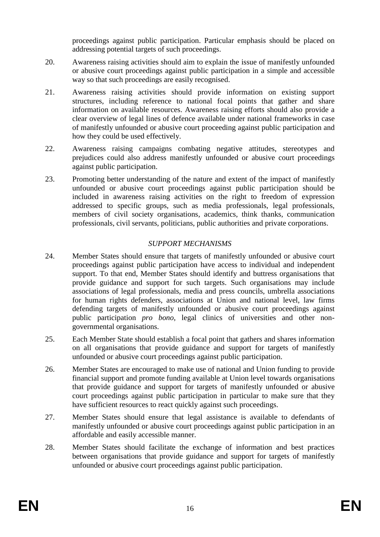proceedings against public participation. Particular emphasis should be placed on addressing potential targets of such proceedings.

- 20. Awareness raising activities should aim to explain the issue of manifestly unfounded or abusive court proceedings against public participation in a simple and accessible way so that such proceedings are easily recognised.
- 21. Awareness raising activities should provide information on existing support structures, including reference to national focal points that gather and share information on available resources. Awareness raising efforts should also provide a clear overview of legal lines of defence available under national frameworks in case of manifestly unfounded or abusive court proceeding against public participation and how they could be used effectively.
- 22. Awareness raising campaigns combating negative attitudes, stereotypes and prejudices could also address manifestly unfounded or abusive court proceedings against public participation.
- 23. Promoting better understanding of the nature and extent of the impact of manifestly unfounded or abusive court proceedings against public participation should be included in awareness raising activities on the right to freedom of expression addressed to specific groups, such as media professionals, legal professionals, members of civil society organisations, academics, think thanks, communication professionals, civil servants, politicians, public authorities and private corporations.

# *SUPPORT MECHANISMS*

- 24. Member States should ensure that targets of manifestly unfounded or abusive court proceedings against public participation have access to individual and independent support. To that end, Member States should identify and buttress organisations that provide guidance and support for such targets. Such organisations may include associations of legal professionals, media and press councils, umbrella associations for human rights defenders, associations at Union and national level, law firms defending targets of manifestly unfounded or abusive court proceedings against public participation *pro bono*, legal clinics of universities and other nongovernmental organisations.
- 25. Each Member State should establish a focal point that gathers and shares information on all organisations that provide guidance and support for targets of manifestly unfounded or abusive court proceedings against public participation.
- 26. Member States are encouraged to make use of national and Union funding to provide financial support and promote funding available at Union level towards organisations that provide guidance and support for targets of manifestly unfounded or abusive court proceedings against public participation in particular to make sure that they have sufficient resources to react quickly against such proceedings.
- 27. Member States should ensure that legal assistance is available to defendants of manifestly unfounded or abusive court proceedings against public participation in an affordable and easily accessible manner.
- 28. Member States should facilitate the exchange of information and best practices between organisations that provide guidance and support for targets of manifestly unfounded or abusive court proceedings against public participation.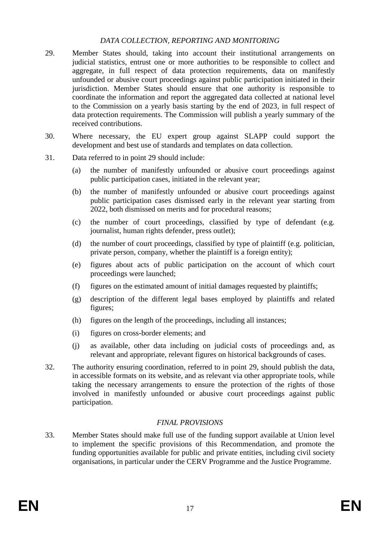## *DATA COLLECTION, REPORTING AND MONITORING*

- 29. Member States should, taking into account their institutional arrangements on judicial statistics, entrust one or more authorities to be responsible to collect and aggregate, in full respect of data protection requirements, data on manifestly unfounded or abusive court proceedings against public participation initiated in their jurisdiction. Member States should ensure that one authority is responsible to coordinate the information and report the aggregated data collected at national level to the Commission on a yearly basis starting by the end of 2023, in full respect of data protection requirements. The Commission will publish a yearly summary of the received contributions.
- 30. Where necessary, the EU expert group against SLAPP could support the development and best use of standards and templates on data collection.
- 31. Data referred to in point 29 should include:
	- (a) the number of manifestly unfounded or abusive court proceedings against public participation cases, initiated in the relevant year;
	- (b) the number of manifestly unfounded or abusive court proceedings against public participation cases dismissed early in the relevant year starting from 2022, both dismissed on merits and for procedural reasons;
	- (c) the number of court proceedings, classified by type of defendant (e.g. journalist, human rights defender, press outlet);
	- (d) the number of court proceedings, classified by type of plaintiff (e.g. politician, private person, company, whether the plaintiff is a foreign entity);
	- (e) figures about acts of public participation on the account of which court proceedings were launched;
	- (f) figures on the estimated amount of initial damages requested by plaintiffs;
	- (g) description of the different legal bases employed by plaintiffs and related figures;
	- (h) figures on the length of the proceedings, including all instances;
	- (i) figures on cross-border elements; and
	- (j) as available, other data including on judicial costs of proceedings and, as relevant and appropriate, relevant figures on historical backgrounds of cases.
- 32. The authority ensuring coordination, referred to in point 29, should publish the data, in accessible formats on its website, and as relevant via other appropriate tools, while taking the necessary arrangements to ensure the protection of the rights of those involved in manifestly unfounded or abusive court proceedings against public participation.

## *FINAL PROVISIONS*

33. Member States should make full use of the funding support available at Union level to implement the specific provisions of this Recommendation, and promote the funding opportunities available for public and private entities, including civil society organisations, in particular under the CERV Programme and the Justice Programme.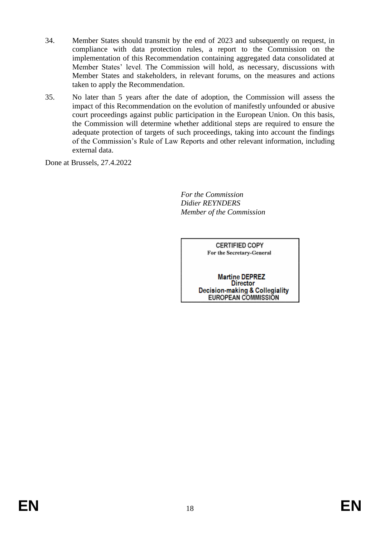- 34. Member States should transmit by the end of 2023 and subsequently on request, in compliance with data protection rules, a report to the Commission on the implementation of this Recommendation containing aggregated data consolidated at Member States' level. The Commission will hold, as necessary, discussions with Member States and stakeholders, in relevant forums, on the measures and actions taken to apply the Recommendation.
- 35. No later than 5 years after the date of adoption, the Commission will assess the impact of this Recommendation on the evolution of manifestly unfounded or abusive court proceedings against public participation in the European Union. On this basis, the Commission will determine whether additional steps are required to ensure the adequate protection of targets of such proceedings, taking into account the findings of the Commission's Rule of Law Reports and other relevant information, including external data.

Done at Brussels, 27.4.2022

*For the Commission Didier REYNDERS Member of the Commission*

> **CERTIFIED COPY** For the Secretary-General

**Martine DEPREZ Director Decision-making & Collegiality** EUROPEAN COMMISSION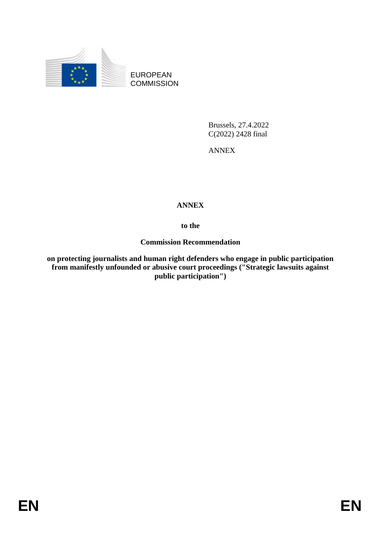

EUROPEAN **COMMISSION** 

> Brussels, 27.4.2022 C(2022) 2428 final

ANNEX

## **ANNEX**

**to the**

### **Commission Recommendation**

**on protecting journalists and human right defenders who engage in public participation from manifestly unfounded or abusive court proceedings ("Strategic lawsuits against public participation")**